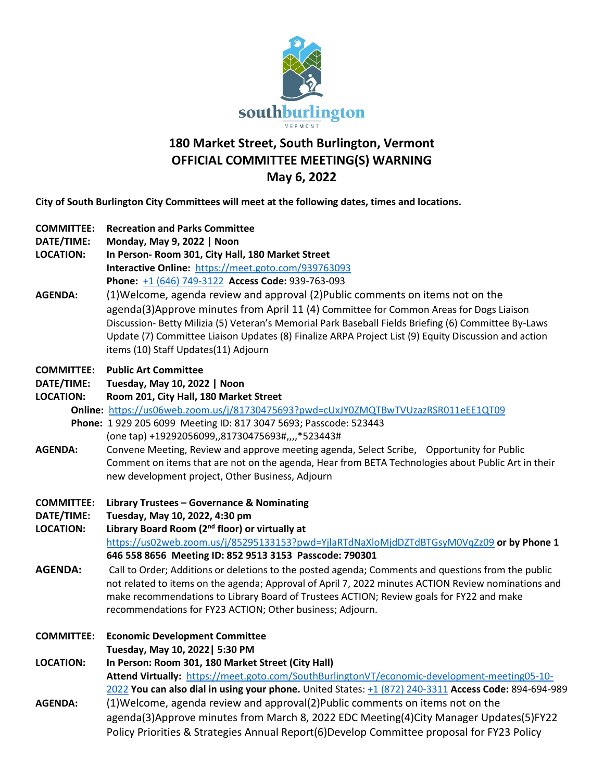

## **180 Market Street, South Burlington, Vermont OFFICIAL COMMITTEE MEETING(S) WARNING May 6, 2022**

**City of South Burlington City Committees will meet at the following dates, times and locations.**

| <b>COMMITTEE:</b> | <b>Recreation and Parks Committee</b>                                                                                                              |
|-------------------|----------------------------------------------------------------------------------------------------------------------------------------------------|
| DATE/TIME:        | Monday, May 9, 2022   Noon                                                                                                                         |
| <b>LOCATION:</b>  | In Person-Room 301, City Hall, 180 Market Street                                                                                                   |
|                   | Interactive Online: https://meet.goto.com/939763093                                                                                                |
|                   | Phone: +1 (646) 749-3122 Access Code: 939-763-093                                                                                                  |
| <b>AGENDA:</b>    | (1) Welcome, agenda review and approval (2) Public comments on items not on the                                                                    |
|                   | agenda(3)Approve minutes from April 11 (4) Committee for Common Areas for Dogs Liaison                                                             |
|                   | Discussion- Betty Milizia (5) Veteran's Memorial Park Baseball Fields Briefing (6) Committee By-Laws                                               |
|                   | Update (7) Committee Liaison Updates (8) Finalize ARPA Project List (9) Equity Discussion and action                                               |
|                   | items (10) Staff Updates(11) Adjourn                                                                                                               |
| <b>COMMITTEE:</b> | <b>Public Art Committee</b>                                                                                                                        |
| DATE/TIME:        | Tuesday, May 10, 2022   Noon                                                                                                                       |
| <b>LOCATION:</b>  | Room 201, City Hall, 180 Market Street                                                                                                             |
|                   | Online: https://us06web.zoom.us/j/81730475693?pwd=cUxJY0ZMQTBwTVUzazRSR011eEE1QT09                                                                 |
|                   | Phone: 1 929 205 6099 Meeting ID: 817 3047 5693; Passcode: 523443                                                                                  |
|                   | (one tap) +19292056099,,81730475693#,,,,*523443#                                                                                                   |
| <b>AGENDA:</b>    | Convene Meeting, Review and approve meeting agenda, Select Scribe, Opportunity for Public                                                          |
|                   | Comment on items that are not on the agenda, Hear from BETA Technologies about Public Art in their                                                 |
|                   | new development project, Other Business, Adjourn                                                                                                   |
| <b>COMMITTEE:</b> | Library Trustees - Governance & Nominating                                                                                                         |
| DATE/TIME:        | Tuesday, May 10, 2022, 4:30 pm                                                                                                                     |
| <b>LOCATION:</b>  | Library Board Room (2 <sup>nd</sup> floor) or virtually at                                                                                         |
|                   | https://us02web.zoom.us/j/85295133153?pwd=YjlaRTdNaXloMjdDZTdBTGsyM0VqZz09 or by Phone 1                                                           |
|                   | 646 558 8656 Meeting ID: 852 9513 3153 Passcode: 790301                                                                                            |
| <b>AGENDA:</b>    | Call to Order; Additions or deletions to the posted agenda; Comments and questions from the public                                                 |
|                   | not related to items on the agenda; Approval of April 7, 2022 minutes ACTION Review nominations and                                                |
|                   | make recommendations to Library Board of Trustees ACTION; Review goals for FY22 and make                                                           |
|                   | recommendations for FY23 ACTION; Other business; Adjourn.                                                                                          |
|                   |                                                                                                                                                    |
| <b>COMMITTEE:</b> | <b>Economic Development Committee</b>                                                                                                              |
|                   | Tuesday, May 10, 2022   5:30 PM                                                                                                                    |
| <b>LOCATION:</b>  | In Person: Room 301, 180 Market Street (City Hall)<br>Attend Virtually: https://meet.goto.com/SouthBurlingtonVT/economic-development-meeting05-10- |
|                   | 2022 You can also dial in using your phone. United States: +1 (872) 240-3311 Access Code: 894-694-989                                              |
| <b>AGENDA:</b>    | (1) Welcome, agenda review and approval(2) Public comments on items not on the                                                                     |
|                   |                                                                                                                                                    |
|                   | agenda(3)Approve minutes from March 8, 2022 EDC Meeting(4)City Manager Updates(5)FY22                                                              |
|                   | Policy Priorities & Strategies Annual Report(6)Develop Committee proposal for FY23 Policy                                                          |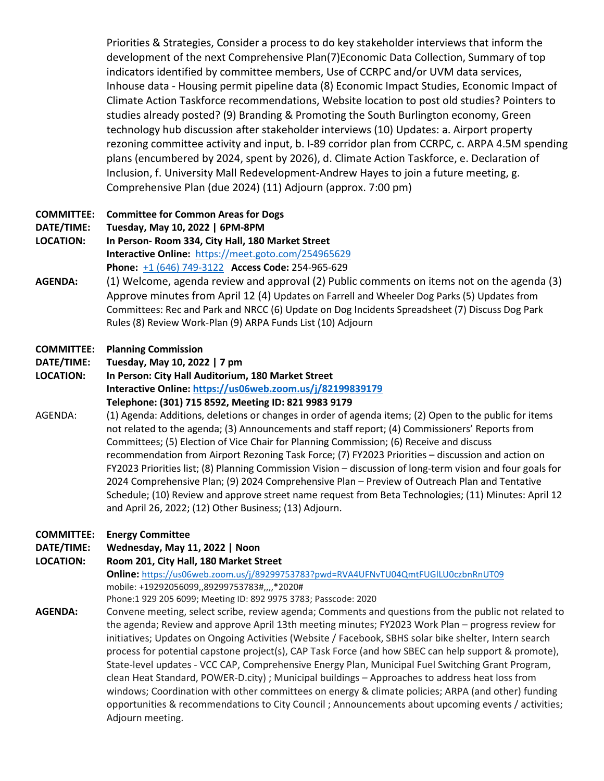Priorities & Strategies, Consider a process to do key stakeholder interviews that inform the development of the next Comprehensive Plan(7)Economic Data Collection, Summary of top indicators identified by committee members, Use of CCRPC and/or UVM data services, Inhouse data - Housing permit pipeline data (8) Economic Impact Studies, Economic Impact of Climate Action Taskforce recommendations, Website location to post old studies? Pointers to studies already posted? (9) Branding & Promoting the South Burlington economy, Green technology hub discussion after stakeholder interviews (10) Updates: a. Airport property rezoning committee activity and input, b. I-89 corridor plan from CCRPC, c. ARPA 4.5M spending plans (encumbered by 2024, spent by 2026), d. Climate Action Taskforce, e. Declaration of Inclusion, f. University Mall Redevelopment-Andrew Hayes to join a future meeting, g. Comprehensive Plan (due 2024) (11) Adjourn (approx. 7:00 pm)

## **COMMITTEE: Committee for Common Areas for Dogs**

- **DATE/TIME: Tuesday, May 10, 2022 | 6PM-8PM**
- **LOCATION: In Person- Room 334, City Hall, 180 Market Street Interactive Online:** <https://meet.goto.com/254965629> **Phone:** [+1 \(646\) 749-3122](tel:+16467493122,,254965629) **Access Code:** 254-965-629
- **AGENDA:** (1) Welcome, agenda review and approval (2) Public comments on items not on the agenda (3) Approve minutes from April 12 (4) Updates on Farrell and Wheeler Dog Parks (5) Updates from Committees: Rec and Park and NRCC (6) Update on Dog Incidents Spreadsheet (7) Discuss Dog Park Rules (8) Review Work-Plan (9) ARPA Funds List (10) Adjourn

## **COMMITTEE: Planning Commission**

**DATE/TIME: Tuesday, May 10, 2022 | 7 pm**

- **LOCATION: In Person: City Hall Auditorium, 180 Market Street Interactive Online[: https://us06web.zoom.us/j/82199839179](https://us06web.zoom.us/j/82199839179) Telephone: (301) 715 8592, Meeting ID: 821 9983 9179**
- AGENDA: (1) Agenda: Additions, deletions or changes in order of agenda items; (2) Open to the public for items not related to the agenda; (3) Announcements and staff report; (4) Commissioners' Reports from Committees; (5) Election of Vice Chair for Planning Commission; (6) Receive and discuss recommendation from Airport Rezoning Task Force; (7) FY2023 Priorities – discussion and action on FY2023 Priorities list; (8) Planning Commission Vision – discussion of long-term vision and four goals for 2024 Comprehensive Plan; (9) 2024 Comprehensive Plan – Preview of Outreach Plan and Tentative Schedule; (10) Review and approve street name request from Beta Technologies; (11) Minutes: April 12 and April 26, 2022; (12) Other Business; (13) Adjourn.

## **COMMITTEE: Energy Committee**

**DATE/TIME: Wednesday, May 11, 2022 | Noon**

**LOCATION: Room 201, City Hall, 180 Market Street**

**Online:** <https://us06web.zoom.us/j/89299753783?pwd=RVA4UFNvTU04QmtFUGlLU0czbnRnUT09> mobile: +19292056099,,89299753783#,,,,\*2020#

Phone:1 929 205 6099; Meeting ID: 892 9975 3783; Passcode: 2020

**AGENDA:** Convene meeting, select scribe, review agenda; Comments and questions from the public not related to the agenda; Review and approve April 13th meeting minutes; FY2023 Work Plan – progress review for initiatives; Updates on Ongoing Activities (Website / Facebook, SBHS solar bike shelter, Intern search process for potential capstone project(s), CAP Task Force (and how SBEC can help support & promote), State-level updates - VCC CAP, Comprehensive Energy Plan, Municipal Fuel Switching Grant Program, clean Heat Standard, POWER-D.city) ; Municipal buildings – Approaches to address heat loss from windows; Coordination with other committees on energy & climate policies; ARPA (and other) funding opportunities & recommendations to City Council ; Announcements about upcoming events / activities; Adjourn meeting.